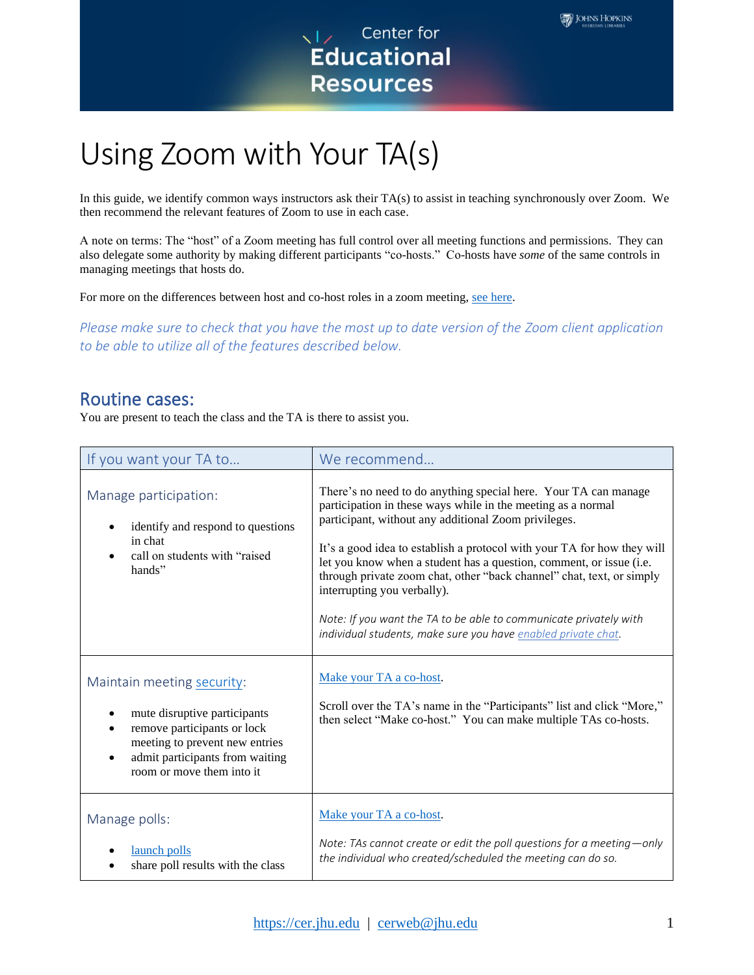

## Using Zoom with Your TA(s)

In this guide, we identify common ways instructors ask their TA(s) to assist in teaching synchronously over Zoom. We then recommend the relevant features of Zoom to use in each case.

Using Zoom with Your TA(s) In this guide, we identify common ways instructors ask their TA(s) to ass<br>then recommend the relevant features of Zoom to use in each case.<br>A note on terms: The "host" of a Zoom meeting has full A note on terms: The "host" of a Zoom meeting has full control over all meeting functions and permissions. They can also delegate some authority by making different participants "co-hosts." Co-hosts have *some* of the same controls in managing meetings that hosts do.

For more on the differences between host and co-host roles in a zoom meeting, [see here.](https://support.zoom.us/hc/en-us/articles/360040324512-Roles-in-a-meeting)

 *Please make sure to check that you have the most up to date version of the Zoom client application to be able to utilize all of the features described below.* 

## Routine cases:

You are present to teach the class and the TA is there to assist you.

| If you want your TA to                                                                                                                                                                      | We recommend                                                                                                                                                                                                                                                                                                                                                                                                                                                                                                                                                                            |
|---------------------------------------------------------------------------------------------------------------------------------------------------------------------------------------------|-----------------------------------------------------------------------------------------------------------------------------------------------------------------------------------------------------------------------------------------------------------------------------------------------------------------------------------------------------------------------------------------------------------------------------------------------------------------------------------------------------------------------------------------------------------------------------------------|
| Manage participation:<br>identify and respond to questions<br>in chat<br>call on students with "raised<br>hands"                                                                            | There's no need to do anything special here. Your TA can manage<br>participation in these ways while in the meeting as a normal<br>participant, without any additional Zoom privileges.<br>It's a good idea to establish a protocol with your TA for how they will<br>let you know when a student has a question, comment, or issue (i.e.<br>through private zoom chat, other "back channel" chat, text, or simply<br>interrupting you verbally).<br>Note: If you want the TA to be able to communicate privately with<br>individual students, make sure you have enabled private chat. |
| Maintain meeting security:<br>mute disruptive participants<br>remove participants or lock<br>meeting to prevent new entries<br>admit participants from waiting<br>room or move them into it | Make your TA a co-host.<br>Scroll over the TA's name in the "Participants" list and click "More,"<br>then select "Make co-host." You can make multiple TAs co-hosts.                                                                                                                                                                                                                                                                                                                                                                                                                    |
| Manage polls:<br>launch polls<br>share poll results with the class                                                                                                                          | Make your TA a co-host.<br>Note: TAs cannot create or edit the poll questions for a meeting-only<br>the individual who created/scheduled the meeting can do so.                                                                                                                                                                                                                                                                                                                                                                                                                         |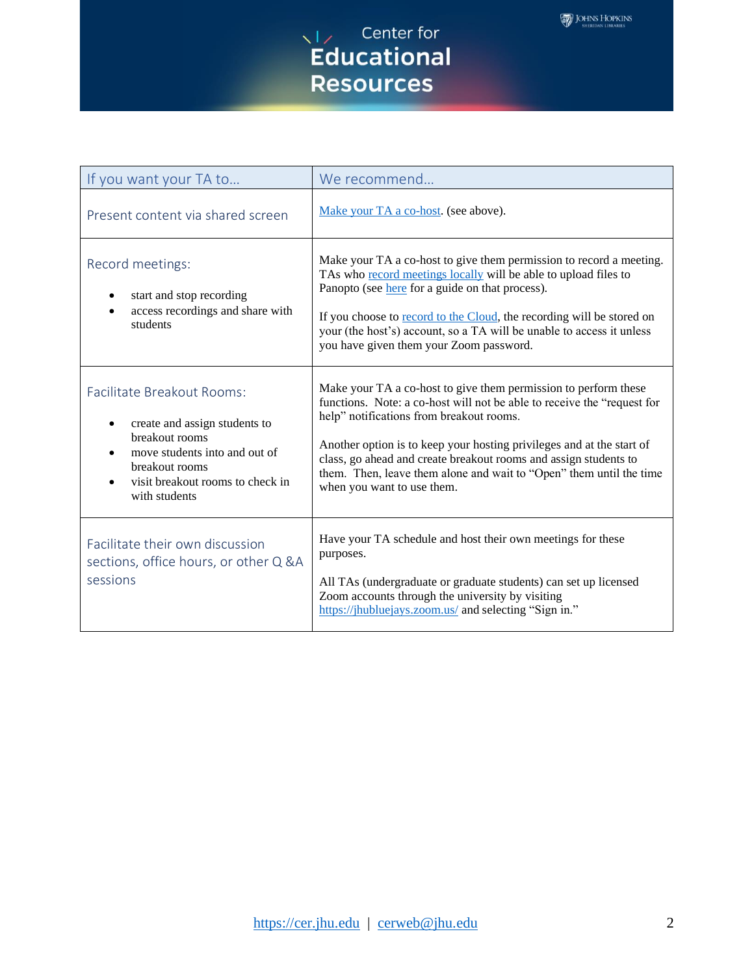

| If you want your TA to                                                                                                                                                                                          | We recommend                                                                                                                                                                                                                                                                                                                                                                                                                             |
|-----------------------------------------------------------------------------------------------------------------------------------------------------------------------------------------------------------------|------------------------------------------------------------------------------------------------------------------------------------------------------------------------------------------------------------------------------------------------------------------------------------------------------------------------------------------------------------------------------------------------------------------------------------------|
| Present content via shared screen                                                                                                                                                                               | Make your TA a co-host. (see above).                                                                                                                                                                                                                                                                                                                                                                                                     |
| Record meetings:<br>start and stop recording<br>access recordings and share with<br>$\bullet$<br>students                                                                                                       | Make your TA a co-host to give them permission to record a meeting.<br>TAs who record meetings locally will be able to upload files to<br>Panopto (see here for a guide on that process).<br>If you choose to record to the Cloud, the recording will be stored on<br>your (the host's) account, so a TA will be unable to access it unless<br>you have given them your Zoom password.                                                   |
| Facilitate Breakout Rooms:<br>create and assign students to<br>$\bullet$<br>breakout rooms<br>move students into and out of<br>$\bullet$<br>breakout rooms<br>visit breakout rooms to check in<br>with students | Make your TA a co-host to give them permission to perform these<br>functions. Note: a co-host will not be able to receive the "request for<br>help" notifications from breakout rooms.<br>Another option is to keep your hosting privileges and at the start of<br>class, go ahead and create breakout rooms and assign students to<br>them. Then, leave them alone and wait to "Open" them until the time<br>when you want to use them. |
| Facilitate their own discussion<br>sections, office hours, or other Q &A<br>sessions                                                                                                                            | Have your TA schedule and host their own meetings for these<br>purposes.<br>All TAs (undergraduate or graduate students) can set up licensed<br>Zoom accounts through the university by visiting<br>https://jhubluejays.zoom.us/ and selecting "Sign in."                                                                                                                                                                                |